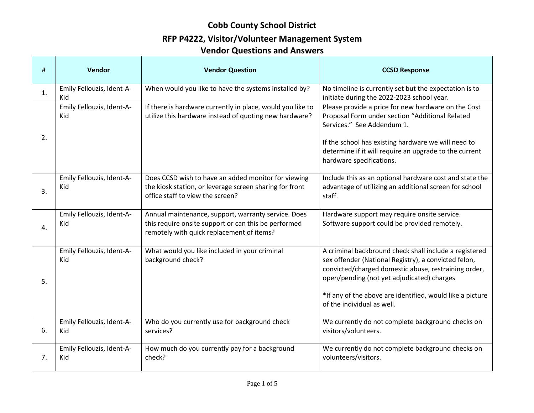## **RFP P4222, Visitor/Volunteer Management System**

| #  | Vendor                           | <b>Vendor Question</b>                                                                                                                                   | <b>CCSD Response</b>                                                                                                                                                                                                                                                                                            |
|----|----------------------------------|----------------------------------------------------------------------------------------------------------------------------------------------------------|-----------------------------------------------------------------------------------------------------------------------------------------------------------------------------------------------------------------------------------------------------------------------------------------------------------------|
| 1. | Emily Fellouzis, Ident-A-<br>Kid | When would you like to have the systems installed by?                                                                                                    | No timeline is currently set but the expectation is to<br>initiate during the 2022-2023 school year.                                                                                                                                                                                                            |
| 2. | Emily Fellouzis, Ident-A-<br>Kid | If there is hardware currently in place, would you like to<br>utilize this hardware instead of quoting new hardware?                                     | Please provide a price for new hardware on the Cost<br>Proposal Form under section "Additional Related<br>Services." See Addendum 1.<br>If the school has existing hardware we will need to<br>determine if it will require an upgrade to the current<br>hardware specifications.                               |
| 3. | Emily Fellouzis, Ident-A-<br>Kid | Does CCSD wish to have an added monitor for viewing<br>the kiosk station, or leverage screen sharing for front<br>office staff to view the screen?       | Include this as an optional hardware cost and state the<br>advantage of utilizing an additional screen for school<br>staff.                                                                                                                                                                                     |
| 4. | Emily Fellouzis, Ident-A-<br>Kid | Annual maintenance, support, warranty service. Does<br>this require onsite support or can this be performed<br>remotely with quick replacement of items? | Hardware support may require onsite service.<br>Software support could be provided remotely.                                                                                                                                                                                                                    |
| 5. | Emily Fellouzis, Ident-A-<br>Kid | What would you like included in your criminal<br>background check?                                                                                       | A criminal backbround check shall include a registered<br>sex offender (National Registry), a convicted felon,<br>convicted/charged domestic abuse, restraining order,<br>open/pending (not yet adjudicated) charges<br>*If any of the above are identified, would like a picture<br>of the individual as well. |
| 6. | Emily Fellouzis, Ident-A-<br>Kid | Who do you currently use for background check<br>services?                                                                                               | We currently do not complete background checks on<br>visitors/volunteers.                                                                                                                                                                                                                                       |
| 7. | Emily Fellouzis, Ident-A-<br>Kid | How much do you currently pay for a background<br>check?                                                                                                 | We currently do not complete background checks on<br>volunteers/visitors.                                                                                                                                                                                                                                       |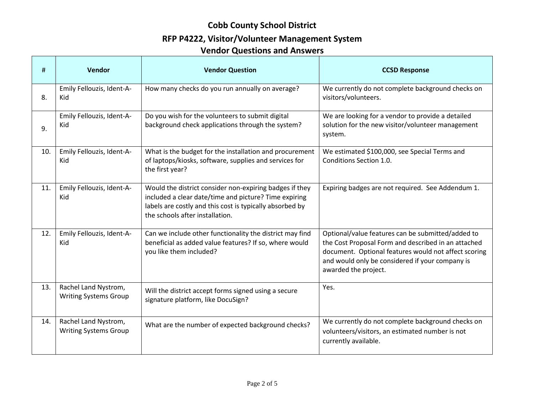## **RFP P4222, Visitor/Volunteer Management System**

| #   | Vendor                                               | <b>Vendor Question</b>                                                                                                                                                                                          | <b>CCSD Response</b>                                                                                                                                                                                                                        |
|-----|------------------------------------------------------|-----------------------------------------------------------------------------------------------------------------------------------------------------------------------------------------------------------------|---------------------------------------------------------------------------------------------------------------------------------------------------------------------------------------------------------------------------------------------|
| 8.  | Emily Fellouzis, Ident-A-<br>Kid                     | How many checks do you run annually on average?                                                                                                                                                                 | We currently do not complete background checks on<br>visitors/volunteers.                                                                                                                                                                   |
| 9.  | Emily Fellouzis, Ident-A-<br>Kid                     | Do you wish for the volunteers to submit digital<br>background check applications through the system?                                                                                                           | We are looking for a vendor to provide a detailed<br>solution for the new visitor/volunteer management<br>system.                                                                                                                           |
| 10. | Emily Fellouzis, Ident-A-<br>Kid                     | What is the budget for the installation and procurement<br>of laptops/kiosks, software, supplies and services for<br>the first year?                                                                            | We estimated \$100,000, see Special Terms and<br>Conditions Section 1.0.                                                                                                                                                                    |
| 11. | Emily Fellouzis, Ident-A-<br>Kid                     | Would the district consider non-expiring badges if they<br>included a clear date/time and picture? Time expiring<br>labels are costly and this cost is typically absorbed by<br>the schools after installation. | Expiring badges are not required. See Addendum 1.                                                                                                                                                                                           |
| 12. | Emily Fellouzis, Ident-A-<br>Kid                     | Can we include other functionality the district may find<br>beneficial as added value features? If so, where would<br>you like them included?                                                                   | Optional/value features can be submitted/added to<br>the Cost Proposal Form and described in an attached<br>document. Optional features would not affect scoring<br>and would only be considered if your company is<br>awarded the project. |
| 13. | Rachel Land Nystrom,<br><b>Writing Systems Group</b> | Will the district accept forms signed using a secure<br>signature platform, like DocuSign?                                                                                                                      | Yes.                                                                                                                                                                                                                                        |
| 14. | Rachel Land Nystrom,<br><b>Writing Systems Group</b> | What are the number of expected background checks?                                                                                                                                                              | We currently do not complete background checks on<br>volunteers/visitors, an estimated number is not<br>currently available.                                                                                                                |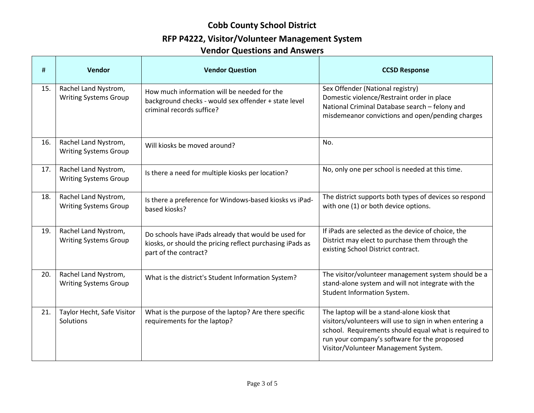#### **RFP P4222, Visitor/Volunteer Management System**

| #   | Vendor                                               | <b>Vendor Question</b>                                                                                                                     | <b>CCSD Response</b>                                                                                                                                                                                                                                    |
|-----|------------------------------------------------------|--------------------------------------------------------------------------------------------------------------------------------------------|---------------------------------------------------------------------------------------------------------------------------------------------------------------------------------------------------------------------------------------------------------|
| 15. | Rachel Land Nystrom,<br><b>Writing Systems Group</b> | How much information will be needed for the<br>background checks - would sex offender + state level<br>criminal records suffice?           | Sex Offender (National registry)<br>Domestic violence/Restraint order in place<br>National Criminal Database search - felony and<br>misdemeanor convictions and open/pending charges                                                                    |
| 16. | Rachel Land Nystrom,<br><b>Writing Systems Group</b> | Will kiosks be moved around?                                                                                                               | No.                                                                                                                                                                                                                                                     |
| 17. | Rachel Land Nystrom,<br><b>Writing Systems Group</b> | Is there a need for multiple kiosks per location?                                                                                          | No, only one per school is needed at this time.                                                                                                                                                                                                         |
| 18. | Rachel Land Nystrom,<br><b>Writing Systems Group</b> | Is there a preference for Windows-based kiosks vs iPad-<br>based kiosks?                                                                   | The district supports both types of devices so respond<br>with one (1) or both device options.                                                                                                                                                          |
| 19. | Rachel Land Nystrom,<br><b>Writing Systems Group</b> | Do schools have iPads already that would be used for<br>kiosks, or should the pricing reflect purchasing iPads as<br>part of the contract? | If iPads are selected as the device of choice, the<br>District may elect to purchase them through the<br>existing School District contract.                                                                                                             |
| 20. | Rachel Land Nystrom,<br><b>Writing Systems Group</b> | What is the district's Student Information System?                                                                                         | The visitor/volunteer management system should be a<br>stand-alone system and will not integrate with the<br>Student Information System.                                                                                                                |
| 21. | Taylor Hecht, Safe Visitor<br>Solutions              | What is the purpose of the laptop? Are there specific<br>requirements for the laptop?                                                      | The laptop will be a stand-alone kiosk that<br>visitors/volunteers will use to sign in when entering a<br>school. Requirements should equal what is required to<br>run your company's software for the proposed<br>Visitor/Volunteer Management System. |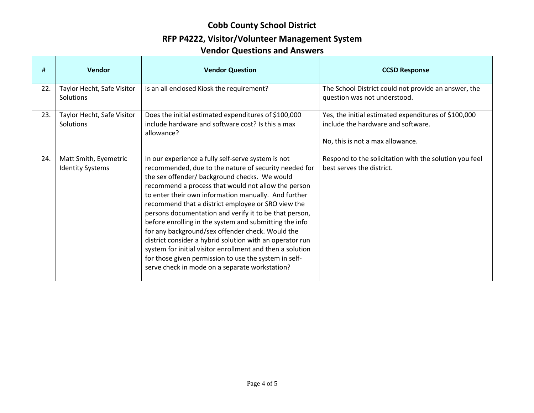## **RFP P4222, Visitor/Volunteer Management System**

| #   | Vendor                                           | <b>Vendor Question</b>                                                                                                                                                                                                                                                                                                                                                                                                                                                                                                                                                                                                                                                                                                                        | <b>CCSD Response</b>                                                                                                           |
|-----|--------------------------------------------------|-----------------------------------------------------------------------------------------------------------------------------------------------------------------------------------------------------------------------------------------------------------------------------------------------------------------------------------------------------------------------------------------------------------------------------------------------------------------------------------------------------------------------------------------------------------------------------------------------------------------------------------------------------------------------------------------------------------------------------------------------|--------------------------------------------------------------------------------------------------------------------------------|
| 22. | Taylor Hecht, Safe Visitor<br>Solutions          | Is an all enclosed Kiosk the requirement?                                                                                                                                                                                                                                                                                                                                                                                                                                                                                                                                                                                                                                                                                                     | The School District could not provide an answer, the<br>question was not understood.                                           |
| 23. | Taylor Hecht, Safe Visitor<br><b>Solutions</b>   | Does the initial estimated expenditures of \$100,000<br>include hardware and software cost? Is this a max<br>allowance?                                                                                                                                                                                                                                                                                                                                                                                                                                                                                                                                                                                                                       | Yes, the initial estimated expenditures of \$100,000<br>include the hardware and software.<br>No, this is not a max allowance. |
| 24. | Matt Smith, Eyemetric<br><b>Identity Systems</b> | In our experience a fully self-serve system is not<br>recommended, due to the nature of security needed for<br>the sex offender/ background checks. We would<br>recommend a process that would not allow the person<br>to enter their own information manually. And further<br>recommend that a district employee or SRO view the<br>persons documentation and verify it to be that person,<br>before enrolling in the system and submitting the info<br>for any background/sex offender check. Would the<br>district consider a hybrid solution with an operator run<br>system for initial visitor enrollment and then a solution<br>for those given permission to use the system in self-<br>serve check in mode on a separate workstation? | Respond to the solicitation with the solution you feel<br>best serves the district.                                            |